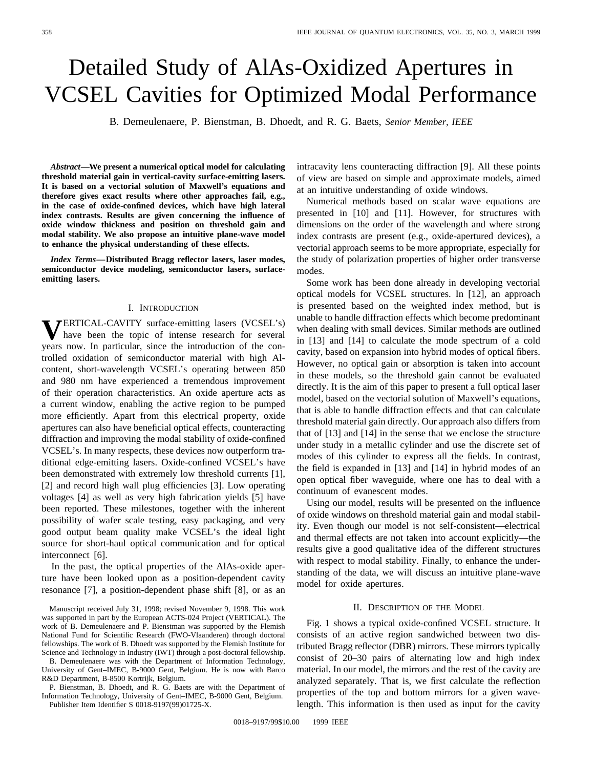# Detailed Study of AlAs-Oxidized Apertures in VCSEL Cavities for Optimized Modal Performance

B. Demeulenaere, P. Bienstman, B. Dhoedt, and R. G. Baets, *Senior Member, IEEE*

*Abstract—***We present a numerical optical model for calculating threshold material gain in vertical-cavity surface-emitting lasers. It is based on a vectorial solution of Maxwell's equations and therefore gives exact results where other approaches fail, e.g., in the case of oxide-confined devices, which have high lateral index contrasts. Results are given concerning the influence of oxide window thickness and position on threshold gain and modal stability. We also propose an intuitive plane-wave model to enhance the physical understanding of these effects.**

*Index Terms—***Distributed Bragg reflector lasers, laser modes, semiconductor device modeling, semiconductor lasers, surfaceemitting lasers.**

#### I. INTRODUCTION

**V**ERTICAL-CAVITY surface-emitting lasers (VCSEL's) have been the topic of intense research for several years now. In particular, since the introduction of the controlled oxidation of semiconductor material with high Alcontent, short-wavelength VCSEL's operating between 850 and 980 nm have experienced a tremendous improvement of their operation characteristics. An oxide aperture acts as a current window, enabling the active region to be pumped more efficiently. Apart from this electrical property, oxide apertures can also have beneficial optical effects, counteracting diffraction and improving the modal stability of oxide-confined VCSEL's. In many respects, these devices now outperform traditional edge-emitting lasers. Oxide-confined VCSEL's have been demonstrated with extremely low threshold currents [1], [2] and record high wall plug efficiencies [3]. Low operating voltages [4] as well as very high fabrication yields [5] have been reported. These milestones, together with the inherent possibility of wafer scale testing, easy packaging, and very good output beam quality make VCSEL's the ideal light source for short-haul optical communication and for optical interconnect [6].

In the past, the optical properties of the AlAs-oxide aperture have been looked upon as a position-dependent cavity resonance [7], a position-dependent phase shift [8], or as an

B. Demeulenaere was with the Department of Information Technology, University of Gent–IMEC, B-9000 Gent, Belgium. He is now with Barco R&D Department, B-8500 Kortrijk, Belgium.

P. Bienstman, B. Dhoedt, and R. G. Baets are with the Department of Information Technology, University of Gent–IMEC, B-9000 Gent, Belgium. Publisher Item Identifier S 0018-9197(99)01725-X.

intracavity lens counteracting diffraction [9]. All these points of view are based on simple and approximate models, aimed at an intuitive understanding of oxide windows.

Numerical methods based on scalar wave equations are presented in [10] and [11]. However, for structures with dimensions on the order of the wavelength and where strong index contrasts are present (e.g., oxide-apertured devices), a vectorial approach seems to be more appropriate, especially for the study of polarization properties of higher order transverse modes.

Some work has been done already in developing vectorial optical models for VCSEL structures. In [12], an approach is presented based on the weighted index method, but is unable to handle diffraction effects which become predominant when dealing with small devices. Similar methods are outlined in [13] and [14] to calculate the mode spectrum of a cold cavity, based on expansion into hybrid modes of optical fibers. However, no optical gain or absorption is taken into account in these models, so the threshold gain cannot be evaluated directly. It is the aim of this paper to present a full optical laser model, based on the vectorial solution of Maxwell's equations, that is able to handle diffraction effects and that can calculate threshold material gain directly. Our approach also differs from that of [13] and [14] in the sense that we enclose the structure under study in a metallic cylinder and use the discrete set of modes of this cylinder to express all the fields. In contrast, the field is expanded in [13] and [14] in hybrid modes of an open optical fiber waveguide, where one has to deal with a continuum of evanescent modes.

Using our model, results will be presented on the influence of oxide windows on threshold material gain and modal stability. Even though our model is not self-consistent—electrical and thermal effects are not taken into account explicitly—the results give a good qualitative idea of the different structures with respect to modal stability. Finally, to enhance the understanding of the data, we will discuss an intuitive plane-wave model for oxide apertures.

# II. DESCRIPTION OF THE MODEL

Fig. 1 shows a typical oxide-confined VCSEL structure. It consists of an active region sandwiched between two distributed Bragg reflector (DBR) mirrors. These mirrors typically consist of 20–30 pairs of alternating low and high index material. In our model, the mirrors and the rest of the cavity are analyzed separately. That is, we first calculate the reflection properties of the top and bottom mirrors for a given wavelength. This information is then used as input for the cavity

Manuscript received July 31, 1998; revised November 9, 1998. This work was supported in part by the European ACTS-024 Project (VERTICAL). The work of B. Demeulenaere and P. Bienstman was supported by the Flemish National Fund for Scientific Research (FWO-Vlaanderen) through doctoral fellowships. The work of B. Dhoedt was supported by the Flemish Institute for Science and Technology in Industry (IWT) through a post-doctoral fellowship.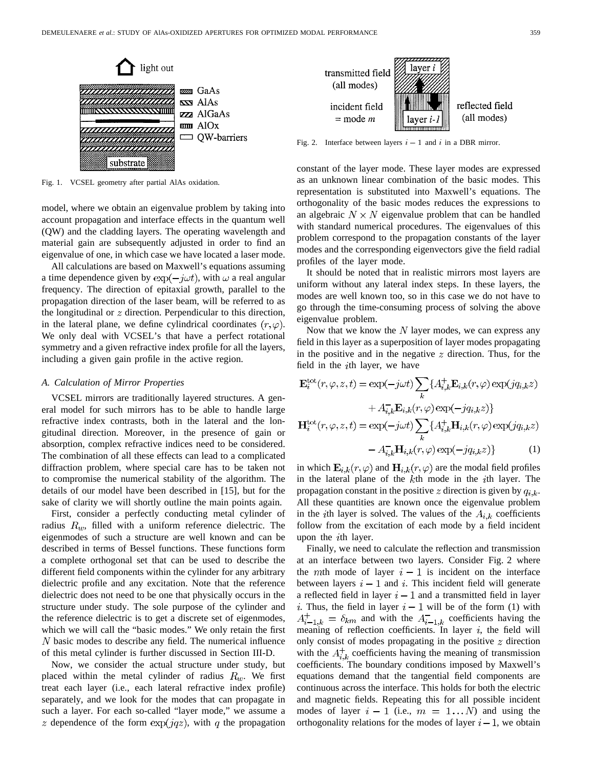

Fig. 1. VCSEL geometry after partial AlAs oxidation.

model, where we obtain an eigenvalue problem by taking into account propagation and interface effects in the quantum well (QW) and the cladding layers. The operating wavelength and material gain are subsequently adjusted in order to find an eigenvalue of one, in which case we have located a laser mode.

All calculations are based on Maxwell's equations assuming a time dependence given by  $\exp(-j\omega t)$ , with  $\omega$  a real angular frequency. The direction of epitaxial growth, parallel to the propagation direction of the laser beam, will be referred to as the longitudinal or  $z$  direction. Perpendicular to this direction, in the lateral plane, we define cylindrical coordinates  $(r, \varphi)$ . We only deal with VCSEL's that have a perfect rotational symmetry and a given refractive index profile for all the layers, including a given gain profile in the active region.

# *A. Calculation of Mirror Properties*

VCSEL mirrors are traditionally layered structures. A general model for such mirrors has to be able to handle large refractive index contrasts, both in the lateral and the longitudinal direction. Moreover, in the presence of gain or absorption, complex refractive indices need to be considered. The combination of all these effects can lead to a complicated diffraction problem, where special care has to be taken not to compromise the numerical stability of the algorithm. The details of our model have been described in [15], but for the sake of clarity we will shortly outline the main points again.

First, consider a perfectly conducting metal cylinder of radius  $R_w$ , filled with a uniform reference dielectric. The eigenmodes of such a structure are well known and can be described in terms of Bessel functions. These functions form a complete orthogonal set that can be used to describe the different field components within the cylinder for any arbitrary dielectric profile and any excitation. Note that the reference dielectric does not need to be one that physically occurs in the structure under study. The sole purpose of the cylinder and the reference dielectric is to get a discrete set of eigenmodes, which we will call the "basic modes." We only retain the first  $N$  basic modes to describe any field. The numerical influence of this metal cylinder is further discussed in Section III-D.

Now, we consider the actual structure under study, but placed within the metal cylinder of radius  $R_w$ . We first treat each layer (i.e., each lateral refractive index profile) separately, and we look for the modes that can propagate in such a layer. For each so-called "layer mode," we assume a z dependence of the form  $\exp(jqz)$ , with q the propagation



constant of the layer mode. These layer modes are expressed as an unknown linear combination of the basic modes. This representation is substituted into Maxwell's equations. The orthogonality of the basic modes reduces the expressions to an algebraic  $N \times N$  eigenvalue problem that can be handled with standard numerical procedures. The eigenvalues of this problem correspond to the propagation constants of the layer modes and the corresponding eigenvectors give the field radial profiles of the layer mode.

It should be noted that in realistic mirrors most layers are uniform without any lateral index steps. In these layers, the modes are well known too, so in this case we do not have to go through the time-consuming process of solving the above eigenvalue problem.

Now that we know the  $N$  layer modes, we can express any field in this layer as a superposition of layer modes propagating in the positive and in the negative  $z$  direction. Thus, for the field in the  $i$ th layer, we have

$$
\mathbf{E}_{i}^{\text{tot}}(r,\varphi,z,t) = \exp(-j\omega t) \sum_{k} \{A_{i,k}^{+} \mathbf{E}_{i,k}(r,\varphi) \exp(jq_{i,k}z) + A_{i,k}^{-} \mathbf{E}_{i,k}(r,\varphi) \exp(-jq_{i,k}z) \}
$$

$$
= \mathbf{H}_{i}^{\text{tot}}(r,\varphi,z,t) = \exp(-j\omega t) \sum_{k} \{A_{i,k}^{+} \mathbf{H}_{i,k}(r,\varphi) \exp(jq_{i,k}z) - A_{i,k}^{-} \mathbf{H}_{i,k}(r,\varphi) \exp(-jq_{i,k}z) \}
$$
(1)

in which  $\mathbf{E}_{i,k}(r,\varphi)$  and  $\mathbf{H}_{i,k}(r,\varphi)$  are the modal field profiles in the lateral plane of the  $k$ th mode in the  $i$ th layer. The propagation constant in the positive z direction is given by  $q_{i,k}$ . All these quantities are known once the eigenvalue problem in the *i*th layer is solved. The values of the  $A_{i,k}$  coefficients follow from the excitation of each mode by a field incident upon the  $i$ th layer.

Finally, we need to calculate the reflection and transmission at an interface between two layers. Consider Fig. 2 where the mth mode of layer  $i-1$  is incident on the interface between layers  $i-1$  and i. This incident field will generate a reflected field in layer  $i - 1$  and a transmitted field in layer *i*. Thus, the field in layer  $i - 1$  will be of the form (1) with  $A_{i-1,k}^+ = \delta_{km}$  and with the  $A_{i-1,k}^-$  coefficients having the meaning of reflection coefficients. In layer  $i$ , the field will only consist of modes propagating in the positive  $z$  direction with the  $A_{i,k}^{+}$  coefficients having the meaning of transmission coefficients. The boundary conditions imposed by Maxwell's equations demand that the tangential field components are continuous across the interface. This holds for both the electric and magnetic fields. Repeating this for all possible incident modes of layer  $i-1$  (i.e.,  $m = 1...N$ ) and using the orthogonality relations for the modes of layer  $i - 1$ , we obtain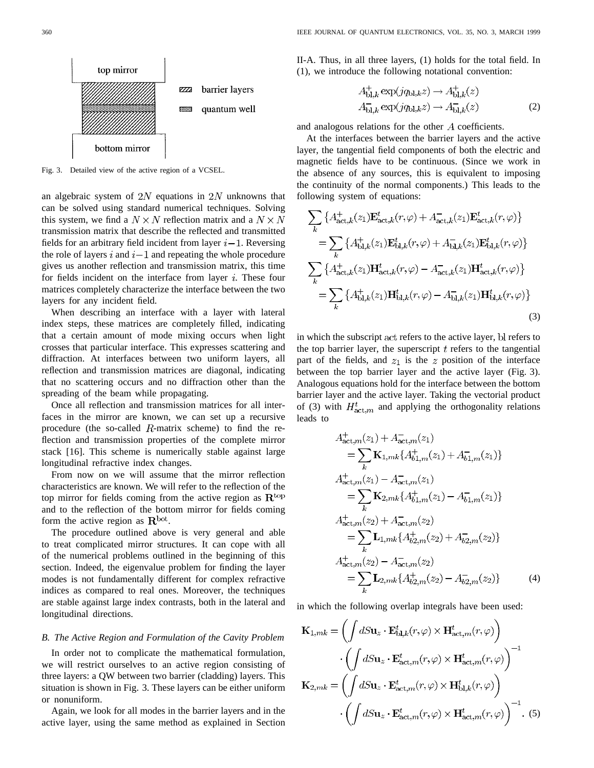

Fig. 3. Detailed view of the active region of a VCSEL.

an algebraic system of  $2N$  equations in  $2N$  unknowns that can be solved using standard numerical techniques. Solving this system, we find a  $N \times N$  reflection matrix and a  $N \times N$ transmission matrix that describe the reflected and transmitted fields for an arbitrary field incident from layer  $i-1$ . Reversing the role of layers  $i$  and  $i-1$  and repeating the whole procedure gives us another reflection and transmission matrix, this time for fields incident on the interface from layer  $i$ . These four matrices completely characterize the interface between the two layers for any incident field.

When describing an interface with a layer with lateral index steps, these matrices are completely filled, indicating that a certain amount of mode mixing occurs when light crosses that particular interface. This expresses scattering and diffraction. At interfaces between two uniform layers, all reflection and transmission matrices are diagonal, indicating that no scattering occurs and no diffraction other than the spreading of the beam while propagating.

Once all reflection and transmission matrices for all interfaces in the mirror are known, we can set up a recursive procedure (the so-called  $R$ -matrix scheme) to find the reflection and transmission properties of the complete mirror stack [16]. This scheme is numerically stable against large longitudinal refractive index changes.

From now on we will assume that the mirror reflection characteristics are known. We will refer to the reflection of the top mirror for fields coming from the active region as  $\mathbf{R}^{\text{top}}$ and to the reflection of the bottom mirror for fields coming form the active region as  $\mathbb{R}^{\text{bot}}$ .

The procedure outlined above is very general and able to treat complicated mirror structures. It can cope with all of the numerical problems outlined in the beginning of this section. Indeed, the eigenvalue problem for finding the layer modes is not fundamentally different for complex refractive indices as compared to real ones. Moreover, the techniques are stable against large index contrasts, both in the lateral and longitudinal directions.

## *B. The Active Region and Formulation of the Cavity Problem*

In order not to complicate the mathematical formulation, we will restrict ourselves to an active region consisting of three layers: a QW between two barrier (cladding) layers. This situation is shown in Fig. 3. These layers can be either uniform or nonuniform.

Again, we look for all modes in the barrier layers and in the active layer, using the same method as explained in Section II-A. Thus, in all three layers, (1) holds for the total field. In (1), we introduce the following notational convention:

$$
A_{\text{bl},k}^{+} \exp(jq_{\text{bl},k}z) \to A_{\text{bl},k}^{+}(z)
$$
  
\n
$$
A_{\text{bl},k}^{-} \exp(jq_{\text{bl},k}z) \to A_{\text{bl},k}^{-}(z)
$$
\n(2)

and analogous relations for the other  $A$  coefficients.

At the interfaces between the barrier layers and the active layer, the tangential field components of both the electric and magnetic fields have to be continuous. (Since we work in the absence of any sources, this is equivalent to imposing the continuity of the normal components.) This leads to the following system of equations:

$$
\sum_{k} \left\{ A_{\text{act},k}^{+}(z_{1}) \mathbf{E}_{\text{act},k}^{t}(r,\varphi) + A_{\text{act},k}^{-}(z_{1}) \mathbf{E}_{\text{act},k}^{t}(r,\varphi) \right\}
$$
\n
$$
= \sum_{k} \left\{ A_{\text{bl},k}^{+}(z_{1}) \mathbf{E}_{\text{bl},k}^{t}(r,\varphi) + A_{\text{bl},k}^{-}(z_{1}) \mathbf{E}_{\text{bl},k}^{t}(r,\varphi) \right\}
$$
\n
$$
\sum_{k} \left\{ A_{\text{act},k}^{+}(z_{1}) \mathbf{H}_{\text{act},k}^{t}(r,\varphi) - A_{\text{act},k}^{-}(z_{1}) \mathbf{H}_{\text{act},k}^{t}(r,\varphi) \right\}
$$
\n
$$
= \sum_{k} \left\{ A_{\text{bl},k}^{+}(z_{1}) \mathbf{H}_{\text{bl},k}^{t}(r,\varphi) - A_{\text{bl},k}^{-}(z_{1}) \mathbf{H}_{\text{bl},k}^{t}(r,\varphi) \right\}
$$
\n(3)

in which the subscript act refers to the active layer, bl refers to the top barrier layer, the superscript  $t$  refers to the tangential part of the fields, and  $z_1$  is the z position of the interface between the top barrier layer and the active layer (Fig. 3). Analogous equations hold for the interface between the bottom barrier layer and the active layer. Taking the vectorial product of (3) with  $H_{\text{act},m}^{t}$  and applying the orthogonality relations leads to

$$
A_{\text{act},m}^{+}(z_{1}) + A_{\text{act},m}^{-}(z_{1})
$$
  
\n
$$
= \sum_{k} \mathbf{K}_{1,mk} \{ A_{b1,m}^{+}(z_{1}) + A_{b1,m}^{-}(z_{1}) \}
$$
  
\n
$$
A_{\text{act},m}^{+}(z_{1}) - A_{\text{act},m}^{-}(z_{1})
$$
  
\n
$$
= \sum_{k} \mathbf{K}_{2,mk} \{ A_{b1,m}^{+}(z_{1}) - A_{b1,m}^{-}(z_{1}) \}
$$
  
\n
$$
A_{\text{act},m}^{+}(z_{2}) + A_{\text{act},m}^{-}(z_{2})
$$
  
\n
$$
= \sum_{k} \mathbf{L}_{1,mk} \{ A_{b2,m}^{+}(z_{2}) + A_{b2,m}^{-}(z_{2}) \}
$$
  
\n
$$
= \sum_{k} \mathbf{L}_{2,mk} \{ A_{b2,m}^{+}(z_{2}) - A_{b2,m}^{-}(z_{2}) \}
$$
  
\n(4)

in which the following overlap integrals have been used:

$$
\mathbf{K}_{1,mk} = \left( \int dS \mathbf{u}_z \cdot \mathbf{E}_{\text{bI},k}^t(r,\varphi) \times \mathbf{H}_{\text{act},m}^t(r,\varphi) \right)
$$

$$
\cdot \left( \int dS \mathbf{u}_z \cdot \mathbf{E}_{\text{act},m}^t(r,\varphi) \times \mathbf{H}_{\text{act},m}^t(r,\varphi) \right)^{-1}
$$

$$
\mathbf{K}_{2,mk} = \left( \int dS \mathbf{u}_z \cdot \mathbf{E}_{\text{act},m}^t(r,\varphi) \times \mathbf{H}_{\text{bI},k}^t(r,\varphi) \right)
$$

$$
\cdot \left( \int dS \mathbf{u}_z \cdot \mathbf{E}_{\text{act},m}^t(r,\varphi) \times \mathbf{H}_{\text{act},m}^t(r,\varphi) \right)^{-1} .
$$
 (5)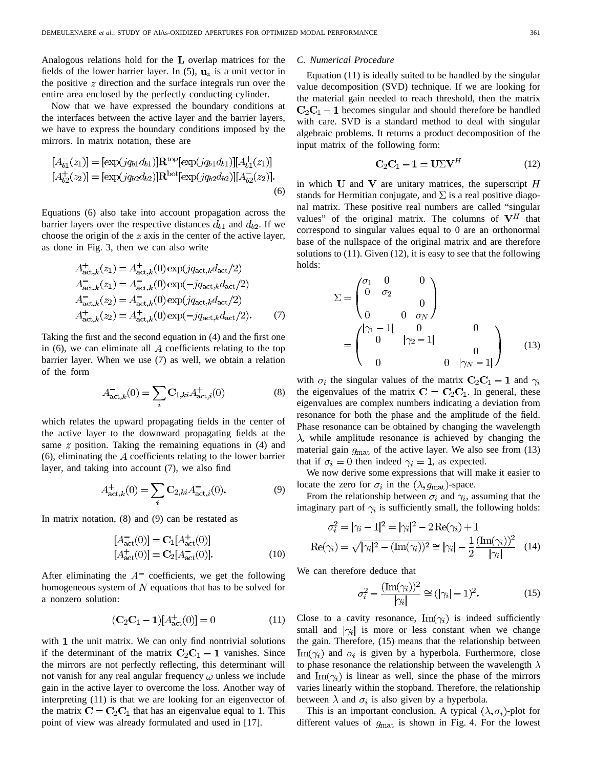Analogous relations hold for the  $L$  overlap matrices for the fields of the lower barrier layer. In (5),  $\mathbf{u}_z$  is a unit vector in the positive  $z$  direction and the surface integrals run over the entire area enclosed by the perfectly conducting cylinder.

Now that we have expressed the boundary conditions at the interfaces between the active layer and the barrier layers, we have to express the boundary conditions imposed by the mirrors. In matrix notation, these are

$$
[A_{b1}^{-}(z_1)] = [\exp(jq_{b1}d_{b1})] \mathbf{R}^{\text{top}}[\exp(jq_{b1}d_{b1})][A_{b1}^{+}(z_1)]
$$
  
\n
$$
[A_{b2}^{+}(z_2)] = [\exp(jq_{b2}d_{b2})] \mathbf{R}^{\text{bot}}[\exp(jq_{b2}d_{b2})][A_{b2}^{-}(z_2)].
$$
\n(6)

Equations (6) also take into account propagation across the barrier layers over the respective distances  $d_{b1}$  and  $d_{b2}$ . If we choose the origin of the  $z$  axis in the center of the active layer, as done in Fig. 3, then we can also write

$$
A_{\text{act},k}^{+}(z_1) = A_{\text{act},k}^{+}(0) \exp(jq_{\text{act},k}d_{\text{act}}/2)
$$
  
\n
$$
A_{\text{act},k}^{-}(z_1) = A_{\text{act},k}^{-}(0) \exp(-jq_{\text{act},k}d_{\text{act}}/2)
$$
  
\n
$$
A_{\text{act},k}^{-}(z_2) = A_{\text{act},k}^{-}(0) \exp(jq_{\text{act},k}d_{\text{act}}/2)
$$
  
\n
$$
A_{\text{act},k}^{+}(z_2) = A_{\text{act},k}^{+}(0) \exp(-jq_{\text{act},k}d_{\text{act}}/2).
$$
 (7)

Taking the first and the second equation in (4) and the first one in  $(6)$ , we can eliminate all  $\tilde{A}$  coefficients relating to the top barrier layer. When we use (7) as well, we obtain a relation of the form

$$
A_{\text{act},k}^{-}(0) = \sum_{i} \mathbf{C}_{1,ki} A_{\text{act},i}^{+}(0)
$$
 (8)

which relates the upward propagating fields in the center of the active layer to the downward propagating fields at the same  $z$  position. Taking the remaining equations in (4) and  $(6)$ , eliminating the  $A$  coefficients relating to the lower barrier layer, and taking into account (7), we also find

$$
A_{\text{act},k}^{+}(0) = \sum_{i} \mathbf{C}_{2,ki} A_{\text{act},i}^{-}(0). \tag{9}
$$

In matrix notation, (8) and (9) can be restated as

$$
[A_{\text{act}}^{-}(0)] = \mathbf{C}_{1}[A_{\text{act}}^{+}(0)]
$$
  
\n
$$
[A_{\text{act}}^{+}(0)] = \mathbf{C}_{2}[A_{\text{act}}^{-}(0)].
$$
\n(10)

After eliminating the  $A^-$  coefficients, we get the following homogeneous system of  $N$  equations that has to be solved for a nonzero solution:

$$
(\mathbf{C}_2 \mathbf{C}_1 - \mathbf{1})[A_{\text{act}}^+(0)] = 0 \tag{11}
$$

with  $1$  the unit matrix. We can only find nontrivial solutions if the determinant of the matrix  $C_2C_1 - 1$  vanishes. Since the mirrors are not perfectly reflecting, this determinant will not vanish for any real angular frequency  $\omega$  unless we include gain in the active layer to overcome the loss. Another way of interpreting (11) is that we are looking for an eigenvector of the matrix  $C = C_2C_1$  that has an eigenvalue equal to 1. This point of view was already formulated and used in [17].

#### *C. Numerical Procedure*

Equation (11) is ideally suited to be handled by the singular value decomposition (SVD) technique. If we are looking for the material gain needed to reach threshold, then the matrix  $\mathbf{C}_2\mathbf{C}_1$  – 1 becomes singular and should therefore be handled with care. SVD is a standard method to deal with singular algebraic problems. It returns a product decomposition of the input matrix of the following form:

$$
C_2C_1 - 1 = U\Sigma V^H \tag{12}
$$

in which U and V are unitary matrices, the superscript  $H$ stands for Hermitian conjugate, and  $\Sigma$  is a real positive diagonal matrix. These positive real numbers are called "singular values" of the original matrix. The columns of  $V^H$  that correspond to singular values equal to 0 are an orthonormal base of the nullspace of the original matrix and are therefore solutions to (11). Given (12), it is easy to see that the following holds:

$$
\Sigma = \begin{pmatrix} \sigma_1 & 0 & 0 \\ 0 & \sigma_2 & 0 \\ 0 & 0 & \sigma_N \end{pmatrix}
$$
  
= 
$$
\begin{pmatrix} |\gamma_1 - 1| & 0 & 0 \\ 0 & |\gamma_2 - 1| & 0 \\ 0 & 0 & |\gamma_N - 1| \end{pmatrix}
$$
 (13)

with  $\sigma_i$  the singular values of the matrix  $C_2C_1 - 1$  and  $\gamma_i$ the eigenvalues of the matrix  $C = C_2C_1$ . In general, these eigenvalues are complex numbers indicating a deviation from resonance for both the phase and the amplitude of the field. Phase resonance can be obtained by changing the wavelength  $\lambda$ , while amplitude resonance is achieved by changing the material gain  $g_{\text{mat}}$  of the active layer. We also see from (13) that if  $\sigma_i = 0$  then indeed  $\gamma_i = 1$ , as expected.

We now derive some expressions that will make it easier to locate the zero for  $\sigma_i$  in the  $(\lambda, g_{\text{mat}})$ -space.

From the relationship between  $\sigma_i$  and  $\gamma_i$ , assuming that the imaginary part of  $\gamma_i$  is sufficiently small, the following holds:

$$
\sigma_i^2 = |\gamma_i - 1|^2 = |\gamma_i|^2 - 2\operatorname{Re}(\gamma_i) + 1
$$

$$
\operatorname{Re}(\gamma_i) = \sqrt{|\gamma_i|^2 - (\operatorname{Im}(\gamma_i))^2} \cong |\gamma_i| - \frac{1}{2} \frac{(\operatorname{Im}(\gamma_i))^2}{|\gamma_i|} \quad (14)
$$

We can therefore deduce that

$$
\sigma_i^2 - \frac{(\text{Im}(\gamma_i))^2}{|\gamma_i|} \cong (|\gamma_i| - 1)^2. \tag{15}
$$

Close to a cavity resonance,  $\text{Im}(\gamma_i)$  is indeed sufficiently small and  $|\gamma_i|$  is more or less constant when we change the gain. Therefore, (15) means that the relationship between  $\text{Im}(\gamma_i)$  and  $\sigma_i$  is given by a hyperbola. Furthermore, close to phase resonance the relationship between the wavelength  $\lambda$ and Im( $\gamma_i$ ) is linear as well, since the phase of the mirrors varies linearly within the stopband. Therefore, the relationship between  $\lambda$  and  $\sigma_i$  is also given by a hyperbola.

This is an important conclusion. A typical  $(\lambda, \sigma_i)$ -plot for different values of  $g_{\text{mat}}$  is shown in Fig. 4. For the lowest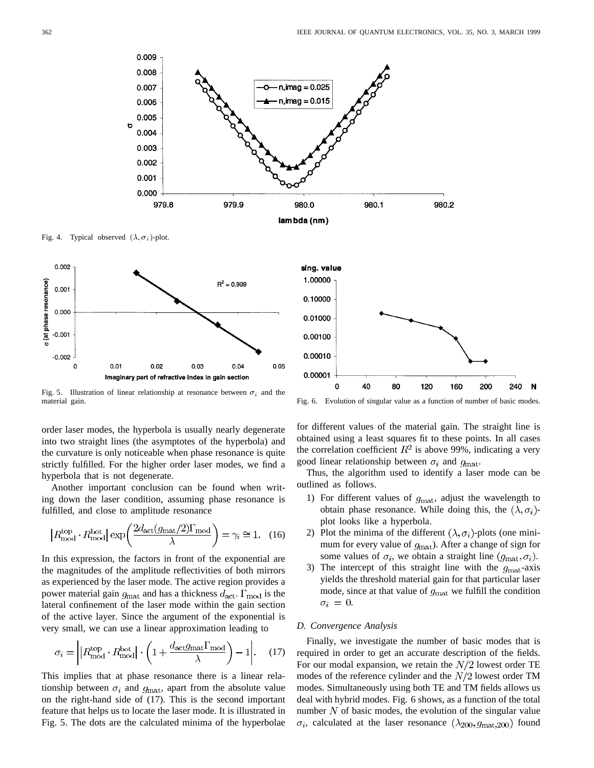

Fig. 4. Typical observed  $(\lambda, \sigma_i)$ -plot.



Fig. 5. Illustration of linear relationship at resonance between  $\sigma_i$  and the material gain.

order laser modes, the hyperbola is usually nearly degenerate into two straight lines (the asymptotes of the hyperbola) and the curvature is only noticeable when phase resonance is quite strictly fulfilled. For the higher order laser modes, we find a hyperbola that is not degenerate.

Another important conclusion can be found when writing down the laser condition, assuming phase resonance is fulfilled, and close to amplitude resonance

$$
|R_{\text{mod}}^{\text{top}} \cdot R_{\text{mod}}^{\text{bot}}| \exp\left(\frac{2d_{\text{act}}(g_{\text{mat}}/2)\Gamma_{\text{mod}}}{\lambda}\right) = \gamma_i \cong 1. \quad (16)
$$

In this expression, the factors in front of the exponential are the magnitudes of the amplitude reflectivities of both mirrors as experienced by the laser mode. The active region provides a power material gain  $g_{\text{mat}}$  and has a thickness  $d_{\text{act}}$ .  $\Gamma_{\text{mod}}$  is the lateral confinement of the laser mode within the gain section of the active layer. Since the argument of the exponential is very small, we can use a linear approximation leading to

$$
\sigma_i = \left| \left| R_{\text{mod}}^{\text{top}} \cdot R_{\text{mod}}^{\text{bot}} \right| \cdot \left( 1 + \frac{d_{\text{act}} g_{\text{mat}} \Gamma_{\text{mod}}}{\lambda} \right) - 1 \right|.
$$
 (17)

This implies that at phase resonance there is a linear relationship between  $\sigma_i$  and  $g_{\text{mat}}$ , apart from the absolute value on the right-hand side of (17). This is the second important feature that helps us to locate the laser mode. It is illustrated in Fig. 5. The dots are the calculated minima of the hyperbolae



Fig. 6. Evolution of singular value as a function of number of basic modes.

for different values of the material gain. The straight line is obtained using a least squares fit to these points. In all cases the correlation coefficient  $R^2$  is above 99%, indicating a very good linear relationship between  $\sigma_i$  and  $g_{\text{mat}}$ .

Thus, the algorithm used to identify a laser mode can be outlined as follows.

- 1) For different values of  $g_{\text{mat}}$ , adjust the wavelength to obtain phase resonance. While doing this, the  $(\lambda, \sigma_i)$ plot looks like a hyperbola.
- 2) Plot the minima of the different  $(\lambda, \sigma_i)$ -plots (one minimum for every value of  $g_{\text{mat}}$ ). After a change of sign for some values of  $\sigma_i$ , we obtain a straight line  $(g_{\text{mat}}, \sigma_i)$ .
- 3) The intercept of this straight line with the  $q_{\text{mat}}$ -axis yields the threshold material gain for that particular laser mode, since at that value of  $g_{\text{mat}}$  we fulfill the condition  $\sigma_i = 0$ .

## *D. Convergence Analysis*

Finally, we investigate the number of basic modes that is required in order to get an accurate description of the fields. For our modal expansion, we retain the  $N/2$  lowest order TE modes of the reference cylinder and the  $N/2$  lowest order TM modes. Simultaneously using both TE and TM fields allows us deal with hybrid modes. Fig. 6 shows, as a function of the total number  $N$  of basic modes, the evolution of the singular value  $\sigma_i$ , calculated at the laser resonance  $(\lambda_{200}, g_{\text{mat}, 200})$  found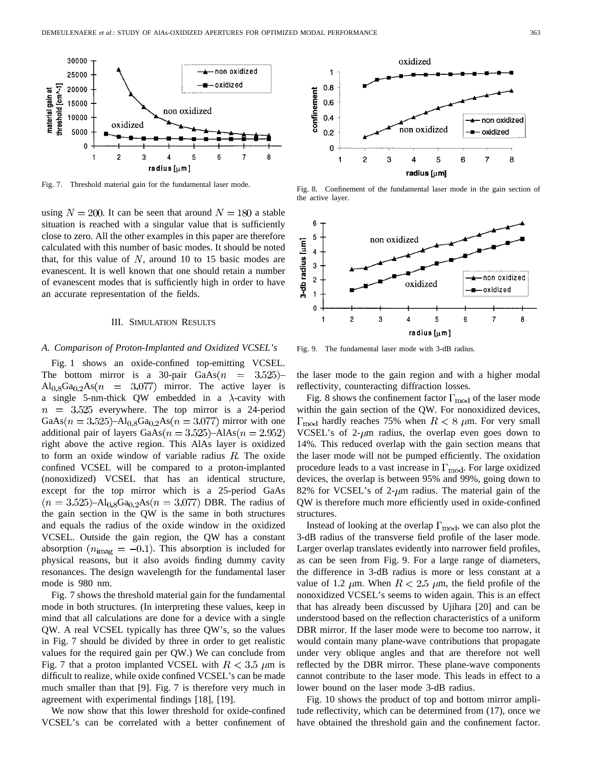

Fig. 7. Threshold material gain for the fundamental laser mode.

using  $N = 200$ . It can be seen that around  $N = 180$  a stable situation is reached with a singular value that is sufficiently close to zero. All the other examples in this paper are therefore calculated with this number of basic modes. It should be noted that, for this value of  $N$ , around 10 to 15 basic modes are evanescent. It is well known that one should retain a number of evanescent modes that is sufficiently high in order to have an accurate representation of the fields.

#### III. SIMULATION RESULTS

## *A. Comparison of Proton-Implanted and Oxidized VCSEL's*

Fig. 1 shows an oxide-confined top-emitting VCSEL. The bottom mirror is a 30-pair  $GaAs(n = 3.525)$  $\text{Al}_{0.8}$ Ga<sub>0.2</sub>As( $n = 3.077$ ) mirror. The active layer is a single 5-nm-thick QW embedded in a  $\lambda$ -cavity with  $n = 3.525$  everywhere. The top mirror is a 24-period  $GaAs(n = 3.525) - Al_{0.8}Ga_{0.2}As(n = 3.077)$  mirror with one additional pair of layers GaAs( $n = 3.525$ )–AlAs( $n = 2.952$ ) right above the active region. This AlAs layer is oxidized to form an oxide window of variable radius  $R$ . The oxide confined VCSEL will be compared to a proton-implanted (nonoxidized) VCSEL that has an identical structure, except for the top mirror which is a 25-period GaAs  $(n = 3.525) - Al_{0.8}Ga_{0.2}As(n = 3.077)$  DBR. The radius of the gain section in the QW is the same in both structures and equals the radius of the oxide window in the oxidized VCSEL. Outside the gain region, the QW has a constant absorption  $(n_{\text{imag}} = -0.1)$ . This absorption is included for physical reasons, but it also avoids finding dummy cavity resonances. The design wavelength for the fundamental laser mode is 980 nm.

Fig. 7 shows the threshold material gain for the fundamental mode in both structures. (In interpreting these values, keep in mind that all calculations are done for a device with a single QW. A real VCSEL typically has three QW's, so the values in Fig. 7 should be divided by three in order to get realistic values for the required gain per QW.) We can conclude from Fig. 7 that a proton implanted VCSEL with  $R < 3.5 \mu m$  is difficult to realize, while oxide confined VCSEL's can be made much smaller than that [9]. Fig. 7 is therefore very much in agreement with experimental findings [18], [19].

We now show that this lower threshold for oxide-confined VCSEL's can be correlated with a better confinement of



Fig. 8. Confinement of the fundamental laser mode in the gain section of the active layer.



Fig. 9. The fundamental laser mode with 3-dB radius.

the laser mode to the gain region and with a higher modal reflectivity, counteracting diffraction losses.

Fig. 8 shows the confinement factor  $\Gamma_{\text{mod}}$  of the laser mode within the gain section of the QW. For nonoxidized devices,  $\Gamma_{\text{mod}}$  hardly reaches 75% when  $R < 8$   $\mu$ m. For very small VCSEL's of 2- $\mu$ m radius, the overlap even goes down to 14%. This reduced overlap with the gain section means that the laser mode will not be pumped efficiently. The oxidation procedure leads to a vast increase in  $\Gamma_{\text{mod}}$ . For large oxidized devices, the overlap is between 95% and 99%, going down to 82% for VCSEL's of 2- $\mu$ m radius. The material gain of the QW is therefore much more efficiently used in oxide-confined structures.

Instead of looking at the overlap  $\Gamma_{\text{mod}}$ , we can also plot the 3-dB radius of the transverse field profile of the laser mode. Larger overlap translates evidently into narrower field profiles, as can be seen from Fig. 9. For a large range of diameters, the difference in 3-dB radius is more or less constant at a value of 1.2  $\mu$ m. When  $R < 2.5 \mu$ m, the field profile of the nonoxidized VCSEL's seems to widen again. This is an effect that has already been discussed by Ujihara [20] and can be understood based on the reflection characteristics of a uniform DBR mirror. If the laser mode were to become too narrow, it would contain many plane-wave contributions that propagate under very oblique angles and that are therefore not well reflected by the DBR mirror. These plane-wave components cannot contribute to the laser mode. This leads in effect to a lower bound on the laser mode 3-dB radius.

Fig. 10 shows the product of top and bottom mirror amplitude reflectivity, which can be determined from (17), once we have obtained the threshold gain and the confinement factor.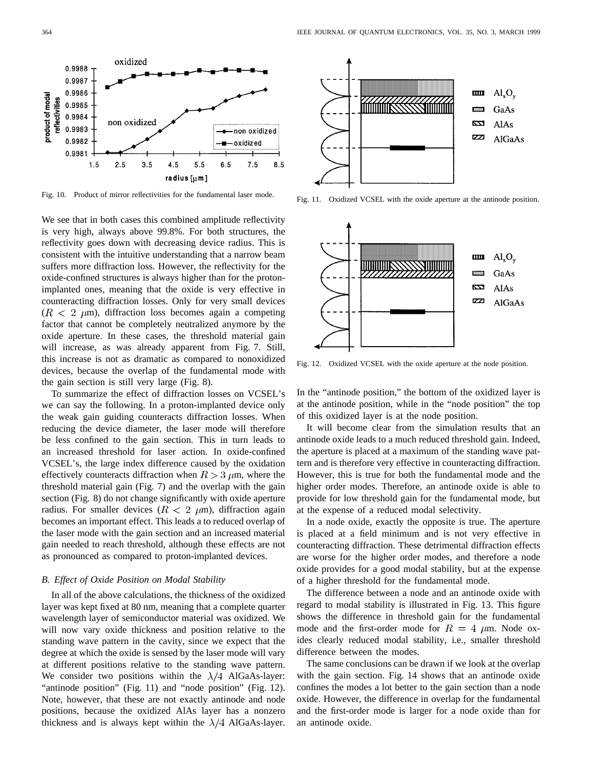

Fig. 10. Product of mirror reflectivities for the fundamental laser mode.

We see that in both cases this combined amplitude reflectivity is very high, always above 99.8%. For both structures, the reflectivity goes down with decreasing device radius. This is consistent with the intuitive understanding that a narrow beam suffers more diffraction loss. However, the reflectivity for the oxide-confined structures is always higher than for the protonimplanted ones, meaning that the oxide is very effective in counteracting diffraction losses. Only for very small devices  $(R < 2 \mu m)$ , diffraction loss becomes again a competing factor that cannot be completely neutralized anymore by the oxide aperture. In these cases, the threshold material gain will increase, as was already apparent from Fig. 7. Still, this increase is not as dramatic as compared to nonoxidized devices, because the overlap of the fundamental mode with the gain section is still very large (Fig. 8).

To summarize the effect of diffraction losses on VCSEL's we can say the following. In a proton-implanted device only the weak gain guiding counteracts diffraction losses. When reducing the device diameter, the laser mode will therefore be less confined to the gain section. This in turn leads to an increased threshold for laser action. In oxide-confined VCSEL's, the large index difference caused by the oxidation effectively counteracts diffraction when  $R > 3 \mu m$ , where the threshold material gain (Fig. 7) and the overlap with the gain section (Fig. 8) do not change significantly with oxide aperture radius. For smaller devices  $(R < 2 \mu m)$ , diffraction again becomes an important effect. This leads a to reduced overlap of the laser mode with the gain section and an increased material gain needed to reach threshold, although these effects are not as pronounced as compared to proton-implanted devices.

## *B. Effect of Oxide Position on Modal Stability*

In all of the above calculations, the thickness of the oxidized layer was kept fixed at 80 nm, meaning that a complete quarter wavelength layer of semiconductor material was oxidized. We will now vary oxide thickness and position relative to the standing wave pattern in the cavity, since we expect that the degree at which the oxide is sensed by the laser mode will vary at different positions relative to the standing wave pattern. We consider two positions within the  $\lambda/4$  AlGaAs-layer: "antinode position" (Fig. 11) and "node position" (Fig. 12). Note, however, that these are not exactly antinode and node positions, because the oxidized AlAs layer has a nonzero thickness and is always kept within the  $\lambda/4$  AlGaAs-layer.



Fig. 11. Oxidized VCSEL with the oxide aperture at the antinode position.



Fig. 12. Oxidized VCSEL with the oxide aperture at the node position.

In the "antinode position," the bottom of the oxidized layer is at the antinode position, while in the "node position" the top of this oxidized layer is at the node position.

It will become clear from the simulation results that an antinode oxide leads to a much reduced threshold gain. Indeed, the aperture is placed at a maximum of the standing wave pattern and is therefore very effective in counteracting diffraction. However, this is true for both the fundamental mode and the higher order modes. Therefore, an antinode oxide is able to provide for low threshold gain for the fundamental mode, but at the expense of a reduced modal selectivity.

In a node oxide, exactly the opposite is true. The aperture is placed at a field minimum and is not very effective in counteracting diffraction. These detrimental diffraction effects are worse for the higher order modes, and therefore a node oxide provides for a good modal stability, but at the expense of a higher threshold for the fundamental mode.

The difference between a node and an antinode oxide with regard to modal stability is illustrated in Fig. 13. This figure shows the difference in threshold gain for the fundamental mode and the first-order mode for  $R = 4 \mu m$ . Node oxides clearly reduced modal stability, i.e., smaller threshold difference between the modes.

The same conclusions can be drawn if we look at the overlap with the gain section. Fig. 14 shows that an antinode oxide confines the modes a lot better to the gain section than a node oxide. However, the difference in overlap for the fundamental and the first-order mode is larger for a node oxide than for an antinode oxide.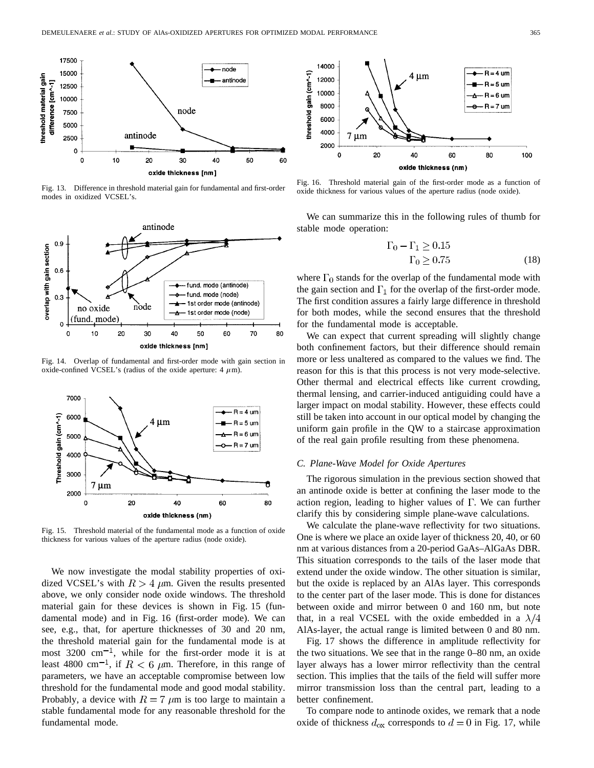

Fig. 13. Difference in threshold material gain for fundamental and first-order modes in oxidized VCSEL's.



Fig. 14. Overlap of fundamental and first-order mode with gain section in oxide-confined VCSEL's (radius of the oxide aperture:  $4 \mu m$ ).



Fig. 15. Threshold material of the fundamental mode as a function of oxide thickness for various values of the aperture radius (node oxide).

We now investigate the modal stability properties of oxidized VCSEL's with  $R > 4$   $\mu$ m. Given the results presented above, we only consider node oxide windows. The threshold material gain for these devices is shown in Fig. 15 (fundamental mode) and in Fig. 16 (first-order mode). We can see, e.g., that, for aperture thicknesses of 30 and 20 nm, the threshold material gain for the fundamental mode is at most  $3200 \text{ cm}^{-1}$ , while for the first-order mode it is at least 4800 cm<sup>-1</sup>, if  $R < 6$   $\mu$ m. Therefore, in this range of parameters, we have an acceptable compromise between low threshold for the fundamental mode and good modal stability. Probably, a device with  $R = 7 \mu m$  is too large to maintain a stable fundamental mode for any reasonable threshold for the fundamental mode.



Fig. 16. Threshold material gain of the first-order mode as a function of oxide thickness for various values of the aperture radius (node oxide).

We can summarize this in the following rules of thumb for stable mode operation:

$$
\Gamma_0 - \Gamma_1 \ge 0.15
$$
  

$$
\Gamma_0 \ge 0.75
$$
 (18)

where  $\Gamma_0$  stands for the overlap of the fundamental mode with the gain section and  $\Gamma_1$  for the overlap of the first-order mode. The first condition assures a fairly large difference in threshold for both modes, while the second ensures that the threshold for the fundamental mode is acceptable.

We can expect that current spreading will slightly change both confinement factors, but their difference should remain more or less unaltered as compared to the values we find. The reason for this is that this process is not very mode-selective. Other thermal and electrical effects like current crowding, thermal lensing, and carrier-induced antiguiding could have a larger impact on modal stability. However, these effects could still be taken into account in our optical model by changing the uniform gain profile in the QW to a staircase approximation of the real gain profile resulting from these phenomena.

# *C. Plane-Wave Model for Oxide Apertures*

The rigorous simulation in the previous section showed that an antinode oxide is better at confining the laser mode to the action region, leading to higher values of  $\Gamma$ . We can further clarify this by considering simple plane-wave calculations.

We calculate the plane-wave reflectivity for two situations. One is where we place an oxide layer of thickness 20, 40, or 60 nm at various distances from a 20-period GaAs–AlGaAs DBR. This situation corresponds to the tails of the laser mode that extend under the oxide window. The other situation is similar, but the oxide is replaced by an AlAs layer. This corresponds to the center part of the laser mode. This is done for distances between oxide and mirror between 0 and 160 nm, but note that, in a real VCSEL with the oxide embedded in a  $\lambda/4$ AlAs-layer, the actual range is limited between 0 and 80 nm.

Fig. 17 shows the difference in amplitude reflectivity for the two situations. We see that in the range 0–80 nm, an oxide layer always has a lower mirror reflectivity than the central section. This implies that the tails of the field will suffer more mirror transmission loss than the central part, leading to a better confinement.

To compare node to antinode oxides, we remark that a node oxide of thickness  $d_{\text{ox}}$  corresponds to  $d = 0$  in Fig. 17, while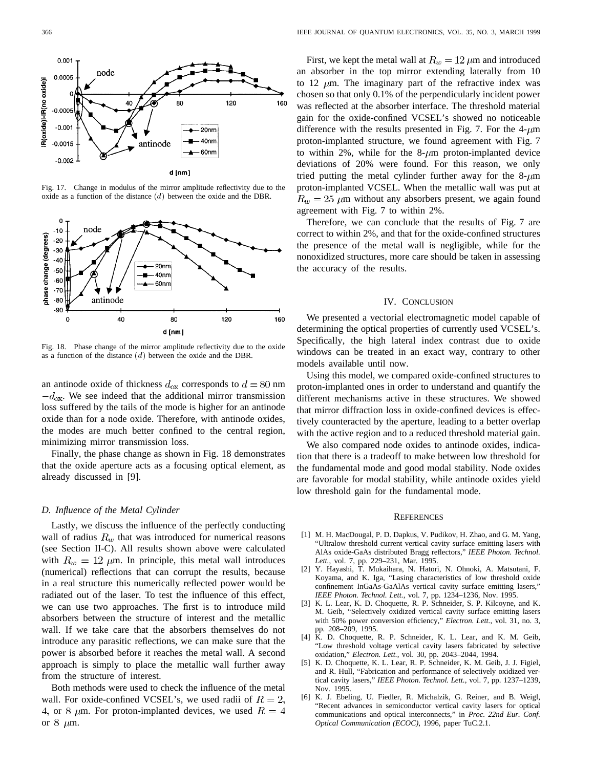

Fig. 17. Change in modulus of the mirror amplitude reflectivity due to the oxide as a function of the distance  $(d)$  between the oxide and the DBR.



Fig. 18. Phase change of the mirror amplitude reflectivity due to the oxide as a function of the distance  $(d)$  between the oxide and the DBR.

an antinode oxide of thickness  $d_{\text{ox}}$  corresponds to  $d = 80$  nm  $-d_{\text{ox}}$ . We see indeed that the additional mirror transmission loss suffered by the tails of the mode is higher for an antinode oxide than for a node oxide. Therefore, with antinode oxides, the modes are much better confined to the central region, minimizing mirror transmission loss.

Finally, the phase change as shown in Fig. 18 demonstrates that the oxide aperture acts as a focusing optical element, as already discussed in [9].

# *D. Influence of the Metal Cylinder*

Lastly, we discuss the influence of the perfectly conducting wall of radius  $R_w$  that was introduced for numerical reasons (see Section II-C). All results shown above were calculated with  $R_w = 12 \mu m$ . In principle, this metal wall introduces (numerical) reflections that can corrupt the results, because in a real structure this numerically reflected power would be radiated out of the laser. To test the influence of this effect, we can use two approaches. The first is to introduce mild absorbers between the structure of interest and the metallic wall. If we take care that the absorbers themselves do not introduce any parasitic reflections, we can make sure that the power is absorbed before it reaches the metal wall. A second approach is simply to place the metallic wall further away from the structure of interest.

Both methods were used to check the influence of the metal wall. For oxide-confined VCSEL's, we used radii of  $R = 2$ , 4, or 8  $\mu$ m. For proton-implanted devices, we used  $R = 4$ or  $8 \mu m$ .

First, we kept the metal wall at  $R_w = 12 \ \mu \text{m}$  and introduced an absorber in the top mirror extending laterally from 10 to 12  $\mu$ m. The imaginary part of the refractive index was chosen so that only 0.1% of the perpendicularly incident power was reflected at the absorber interface. The threshold material gain for the oxide-confined VCSEL's showed no noticeable difference with the results presented in Fig. 7. For the  $4-\mu m$ proton-implanted structure, we found agreement with Fig. 7 to within 2%, while for the 8- $\mu$ m proton-implanted device deviations of 20% were found. For this reason, we only tried putting the metal cylinder further away for the  $8-\mu m$ proton-implanted VCSEL. When the metallic wall was put at  $R_w = 25 \mu m$  without any absorbers present, we again found agreement with Fig. 7 to within 2%.

Therefore, we can conclude that the results of Fig. 7 are correct to within 2%, and that for the oxide-confined structures the presence of the metal wall is negligible, while for the nonoxidized structures, more care should be taken in assessing the accuracy of the results.

#### IV. CONCLUSION

We presented a vectorial electromagnetic model capable of determining the optical properties of currently used VCSEL's. Specifically, the high lateral index contrast due to oxide windows can be treated in an exact way, contrary to other models available until now.

Using this model, we compared oxide-confined structures to proton-implanted ones in order to understand and quantify the different mechanisms active in these structures. We showed that mirror diffraction loss in oxide-confined devices is effectively counteracted by the aperture, leading to a better overlap with the active region and to a reduced threshold material gain.

We also compared node oxides to antinode oxides, indication that there is a tradeoff to make between low threshold for the fundamental mode and good modal stability. Node oxides are favorable for modal stability, while antinode oxides yield low threshold gain for the fundamental mode.

#### **REFERENCES**

- [1] M. H. MacDougal, P. D. Dapkus, V. Pudikov, H. Zhao, and G. M. Yang, "Ultralow threshold current vertical cavity surface emitting lasers with AlAs oxide-GaAs distributed Bragg reflectors," *IEEE Photon. Technol.* Lett., vol. 7, pp. 229-231, Mar. 1995.
- [2] Y. Hayashi, T. Mukaihara, N. Hatori, N. Ohnoki, A. Matsutani, F. Koyama, and K. Iga, "Lasing characteristics of low threshold oxide confinement InGaAs-GaAlAs vertical cavity surface emitting lasers," *IEEE Photon. Technol. Lett.*, vol. 7, pp. 1234–1236, Nov. 1995.
- [3] K. L. Lear, K. D. Choquette, R. P. Schneider, S. P. Kilcoyne, and K. M. Geib, "Selectively oxidized vertical cavity surface emitting lasers with 50% power conversion efficiency," *Electron. Lett.*, vol. 31, no. 3, pp. 208–209, 1995.
- [4] K. D. Choquette, R. P. Schneider, K. L. Lear, and K. M. Geib, "Low threshold voltage vertical cavity lasers fabricated by selective oxidation," *Electron. Lett.*, vol. 30, pp. 2043–2044, 1994.
- [5] K. D. Choquette, K. L. Lear, R. P. Schneider, K. M. Geib, J. J. Figiel, and R. Hull, "Fabrication and performance of selectively oxidized vertical cavity lasers," *IEEE Photon. Technol. Lett.*, vol. 7, pp. 1237–1239, Nov. 1995.
- [6] K. J. Ebeling, U. Fiedler, R. Michalzik, G. Reiner, and B. Weigl, "Recent advances in semiconductor vertical cavity lasers for optical communications and optical interconnects," in *Proc. 22nd Eur. Conf. Optical Communication (ECOC)*, 1996, paper TuC.2.1.